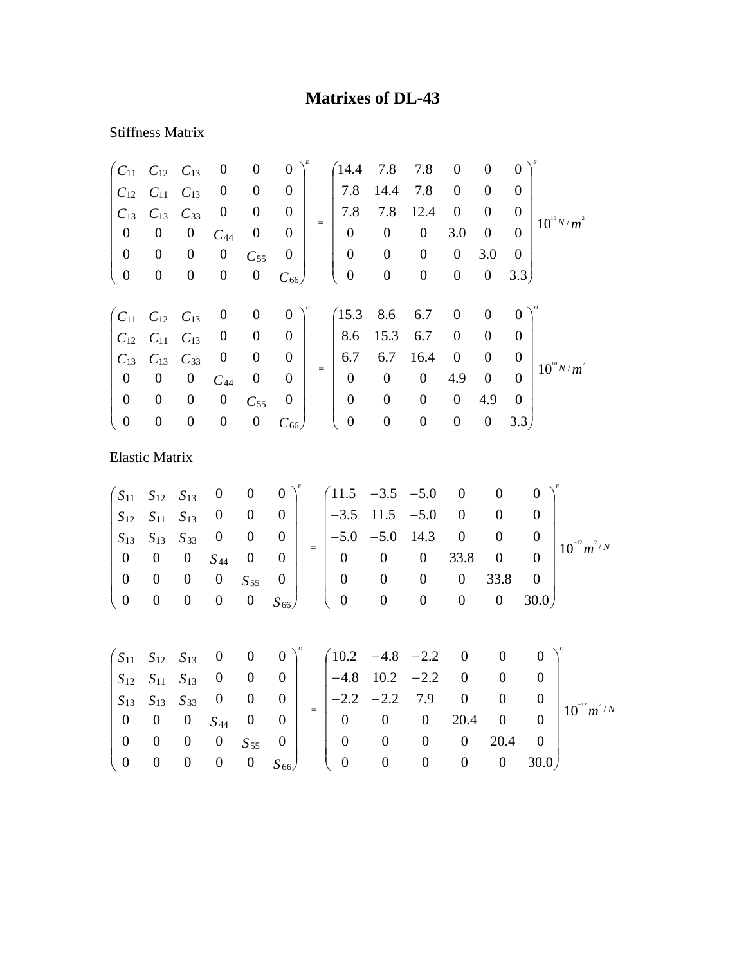## **Matrixes of DL-43**

## Stiffness Matrix

| $C_{11}$         | $C_{12}$              | $C_{13}$         | $\boldsymbol{0}$ | $\boldsymbol{0}$       | $\boldsymbol{0}$ |     | 14.4             | 7.8              | 7.8               | $\boldsymbol{0}$ | $\boldsymbol{0}$ | $\overline{0}$   |                  |                  |
|------------------|-----------------------|------------------|------------------|------------------------|------------------|-----|------------------|------------------|-------------------|------------------|------------------|------------------|------------------|------------------|
| $C_{12}$         | $C_{11}$              | $C_{13}$         | $\boldsymbol{0}$ | $\boldsymbol{0}$       | $\boldsymbol{0}$ |     | 7.8              | 14.4             | 7.8               | $\boldsymbol{0}$ | $\boldsymbol{0}$ | $\boldsymbol{0}$ |                  |                  |
| $C_{13}$         | $C_{13}$              | $C_{33}$         | $\boldsymbol{0}$ | $\boldsymbol{0}$       | $\boldsymbol{0}$ |     | 7.8              | 7.8              | 12.4              | $\boldsymbol{0}$ | $\boldsymbol{0}$ | $\overline{0}$   |                  |                  |
| $\boldsymbol{0}$ | $\boldsymbol{0}$      | $\boldsymbol{0}$ | $C_{44}$         | $\boldsymbol{0}$       | $\boldsymbol{0}$ | $=$ | $\boldsymbol{0}$ | $\boldsymbol{0}$ | $\boldsymbol{0}$  | 3.0              | $\boldsymbol{0}$ | $\overline{0}$   |                  | $10^{10} N/m^2$  |
| $\boldsymbol{0}$ | $\boldsymbol{0}$      | $\boldsymbol{0}$ | $\boldsymbol{0}$ | $C_{55}$               | $\boldsymbol{0}$ |     | $\boldsymbol{0}$ | $\boldsymbol{0}$ | $\boldsymbol{0}$  | $\boldsymbol{0}$ | 3.0              | $\overline{0}$   |                  |                  |
| $\boldsymbol{0}$ | $\boldsymbol{0}$      | $\boldsymbol{0}$ | $\boldsymbol{0}$ | $\boldsymbol{0}$       | $C_{66}$         |     | $\boldsymbol{0}$ | $\boldsymbol{0}$ | $\boldsymbol{0}$  | $\boldsymbol{0}$ | $\boldsymbol{0}$ | 3.3)             |                  |                  |
| $C_{11}$         | $C_{12}$              | $C_{13}$         | $\boldsymbol{0}$ | $\boldsymbol{0}$       | $\boldsymbol{0}$ |     | (15.3)           | 8.6              | 6.7               | $\boldsymbol{0}$ | $\boldsymbol{0}$ | $\overline{0}$   |                  |                  |
| $C_{12}$         | $C_{11}$              | $C_{13}$         | $\boldsymbol{0}$ | $\boldsymbol{0}$       | $\boldsymbol{0}$ |     | 8.6              | 15.3             | 6.7               | $\boldsymbol{0}$ | $\boldsymbol{0}$ | $\overline{0}$   |                  |                  |
| $C_{13}$         | $C_{13}$              | $C_{33}$         | $\boldsymbol{0}$ | $\boldsymbol{0}$       | $\boldsymbol{0}$ |     | 6.7              | 6.7              | 16.4              | $\boldsymbol{0}$ | $\boldsymbol{0}$ | $\overline{0}$   |                  |                  |
| $\boldsymbol{0}$ | $\boldsymbol{0}$      | $\boldsymbol{0}$ | $C_{44}$         | $\boldsymbol{0}$       | $\overline{0}$   | $=$ | $\boldsymbol{0}$ | $\boldsymbol{0}$ | $\boldsymbol{0}$  | 4.9              | $\boldsymbol{0}$ | $\overline{0}$   |                  | $10^{10} N/m^2$  |
| $\boldsymbol{0}$ | $\boldsymbol{0}$      | $\boldsymbol{0}$ | $\boldsymbol{0}$ | $C_{55}$               | $\boldsymbol{0}$ |     | $\boldsymbol{0}$ | $\boldsymbol{0}$ | $\boldsymbol{0}$  | $\boldsymbol{0}$ | 4.9              | $\boldsymbol{0}$ |                  |                  |
| $\boldsymbol{0}$ | $\boldsymbol{0}$      | $\boldsymbol{0}$ | $\boldsymbol{0}$ | $\boldsymbol{0}$       | $C_{66}$         |     | $\boldsymbol{0}$ | $\boldsymbol{0}$ | $\boldsymbol{0}$  | $\boldsymbol{0}$ | $\boldsymbol{0}$ | 3.3)             |                  |                  |
|                  | <b>Elastic Matrix</b> |                  |                  |                        |                  |     |                  |                  |                   |                  |                  |                  |                  |                  |
| $\sqrt{S_{11}}$  | $S_{12}$              | $S_{13}$         | $\boldsymbol{0}$ | $\boldsymbol{0}$       | $\boldsymbol{0}$ |     | 11.5             | $-3.5$           | $-5.0$            | $\boldsymbol{0}$ | $\boldsymbol{0}$ |                  | $\boldsymbol{0}$ |                  |
| $S_{12}$         | $S_{11}$              | $S_{13}$         | $\boldsymbol{0}$ | $\boldsymbol{0}$       | $\boldsymbol{0}$ |     | $-3.5$           | 11.5             | $-5.0$            | $\boldsymbol{0}$ | $\boldsymbol{0}$ |                  | $\boldsymbol{0}$ |                  |
| $S_{13}$         | $S_{13}$              | $S_{33}$         | $\boldsymbol{0}$ | $\boldsymbol{0}$       | $\boldsymbol{0}$ |     | $-5.0$           | $-5.0$           | 14.3              | $\boldsymbol{0}$ | $\boldsymbol{0}$ |                  | $\boldsymbol{0}$ |                  |
| $\boldsymbol{0}$ | $\boldsymbol{0}$      | $\boldsymbol{0}$ | $S_{44}$         | $\boldsymbol{0}$       | $\boldsymbol{0}$ | $=$ | $\mathbf{0}$     | $\boldsymbol{0}$ | $\boldsymbol{0}$  | 33.8             | $\boldsymbol{0}$ |                  | $\boldsymbol{0}$ | $10^{-12} m^2/N$ |
| $\Omega$         | $\Omega$              | $\mathbf{a}$     | $\bigcap$        | $\mathbf{C}^{\dagger}$ | $\Omega$         |     | $\Omega$         |                  | $\Omega$ $\Omega$ | $\Omega$         | 338              |                  | $\Omega$         |                  |

*S S* 66 55 0 0 0 0 0 30.0 0 0 0 0 33.8 0 0 0 0 0 0  $0 \t 0 \t 0 \t 0 \t S_{55} \t 0$  $\vert$  $\begin{pmatrix} 0 & 0 & 0 & 0 & 0 & 0.55.8 & 0 \\ 0 & 0 & 0 & 0 & 0 & 30.0 \end{pmatrix}$  $\begin{array}{c} \hline \end{array}$  $\begin{pmatrix} 0 & 0 & 0 & 0 & S_{55} & 0 \\ 0 & 0 & 0 & 0 & 0 & S_{66} \end{pmatrix}$ ⎝

|  |  |  |  | $\begin{pmatrix} S_{11} & S_{12} & S_{13} & 0 & 0 & 0 \ S_{12} & S_{11} & S_{13} & 0 & 0 & 0 \ S_{13} & S_{13} & S_{33} & 0 & 0 & 0 \ 0 & 0 & 0 & S_{44} & 0 & 0 \end{pmatrix}^p = \begin{pmatrix} 10.2 & -4.8 & -2.2 & 0 & 0 & 0 \ -4.8 & 10.2 & -2.2 & 0 & 0 & 0 \ -2.2 & -2.2 & 7.9 & 0 & 0 & 0 \ 0 & 0 & 0 & 20.4 & 0 & 0 \end{pm$ |  |  |                                                     |
|--|--|--|--|----------------------------------------------------------------------------------------------------------------------------------------------------------------------------------------------------------------------------------------------------------------------------------------------------------------------------------------|--|--|-----------------------------------------------------|
|  |  |  |  |                                                                                                                                                                                                                                                                                                                                        |  |  | $\begin{array}{c c} 0 & 10^{-12} m^2/N \end{array}$ |
|  |  |  |  |                                                                                                                                                                                                                                                                                                                                        |  |  |                                                     |
|  |  |  |  |                                                                                                                                                                                                                                                                                                                                        |  |  |                                                     |
|  |  |  |  |                                                                                                                                                                                                                                                                                                                                        |  |  |                                                     |
|  |  |  |  |                                                                                                                                                                                                                                                                                                                                        |  |  |                                                     |